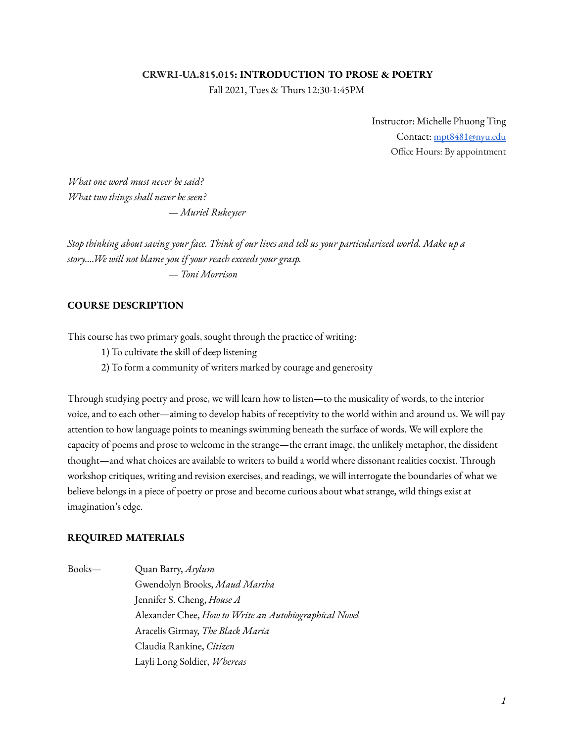#### **CRWRI-UA.815.015: INTRODUCTION TO PROSE & POETRY**

Fall 2021, Tues & Thurs 12:30-1:45PM

Instructor: Michelle Phuong Ting Contact: [mpt8481@nyu.edu](mailto:mpt8481@nyu.edu) Office Hours: By appointment

*What one word must never be said? What two things shall never be seen?* — *Muriel Rukeyser*

Stop thinking about saving your face. Think of our lives and tell us your particularized world. Make up a *story….We will not blame you if your reach exceeds your grasp.* — *Toni Morrison*

#### **COURSE DESCRIPTION**

This course has two primary goals, sought through the practice of writing:

1) To cultivate the skill of deep listening

2) To form a community of writers marked by courage and generosity

Through studying poetry and prose, we will learn how to listen—to the musicality of words, to the interior voice, and to each other—aiming to develop habits of receptivity to the world within and around us. We will pay attention to how language points to meanings swimming beneath the surface of words. We will explore the capacity of poems and prose to welcome in the strange—the errant image, the unlikely metaphor, the dissident thought—and what choices are available to writers to build a world where dissonant realities coexist. Through workshop critiques, writing and revision exercises, and readings, we will interrogate the boundaries of what we believe belongs in a piece of poetry or prose and become curious about what strange, wild things exist at imagination's edge.

#### **REQUIRED MATERIALS**

Books— Quan Barry, *Asylum* Gwendolyn Brooks, *Maud Martha* Jennifer S. Cheng, *House A* Alexander Chee, *How to Write an Autobiographical Novel* Aracelis Girmay, *The Black Maria* Claudia Rankine, *Citizen* Layli Long Soldier, *Whereas*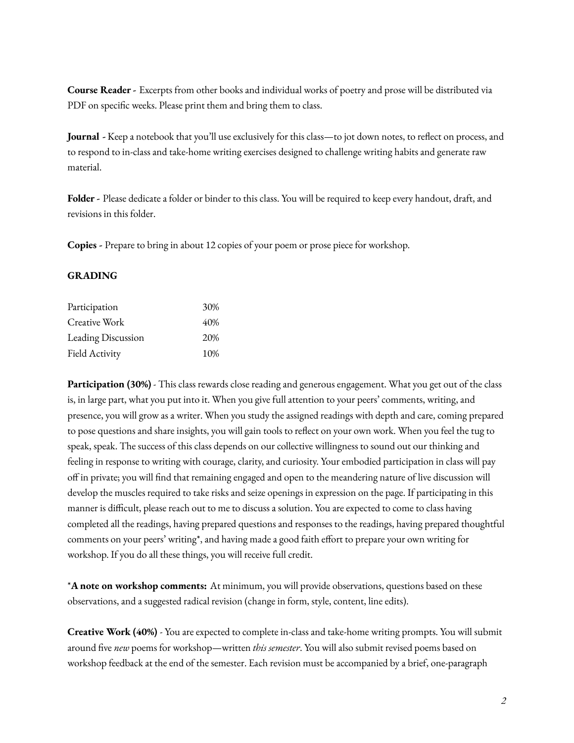**Course Reader -** Excerpts from other books and individual works of poetry and prose will be distributed via PDF on specific weeks. Please print them and bring them to class.

**Journal -** Keep a notebook that you'll use exclusively for this class—to jot down notes, to reflect on process, and to respond to in-class and take-home writing exercises designed to challenge writing habits and generate raw material.

**Folder -** Please dedicate a folder or binder to this class. You will be required to keep every handout, draft, and revisions in this folder.

**Copies -** Prepare to bring in about 12 copies of your poem or prose piece for workshop.

### **GRADING**

| Participation      | 30% |
|--------------------|-----|
| Creative Work      | 40% |
| Leading Discussion | 20% |
| Field Activity     | 10% |

**Participation (30%)** - This class rewards close reading and generous engagement. What you get out of the class is, in large part, what you put into it. When you give full attention to your peers' comments, writing, and presence, you will grow as a writer. When you study the assigned readings with depth and care, coming prepared to pose questions and share insights, you will gain tools to reflect on your own work. When you feel the tug to speak, speak. The success of this class depends on our collective willingness to sound out our thinking and feeling in response to writing with courage, clarity, and curiosity. Your embodied participation in class will pay off in private; you will find that remaining engaged and open to the meandering nature of live discussion will develop the muscles required to take risks and seize openings in expression on the page. If participating in this manner is difficult, please reach out to me to discuss a solution. You are expected to come to class having completed all the readings, having prepared questions and responses to the readings, having prepared thoughtful comments on your peers' writing\*, and having made a good faith effort to prepare your own writing for workshop. If you do all these things, you will receive full credit.

\***A note on workshop comments:** At minimum, you will provide observations, questions based on these observations, and a suggested radical revision (change in form, style, content, line edits).

**Creative Work (40%)** - You are expected to complete in-class and take-home writing prompts. You will submit around five *new* poems for workshop—written *this semester*. You will also submit revised poems based on workshop feedback at the end of the semester. Each revision must be accompanied by a brief, one-paragraph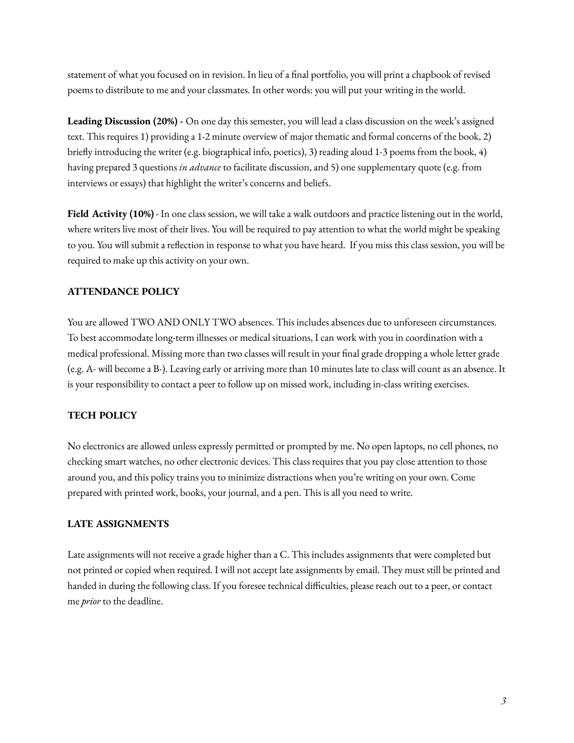statement of what you focused on in revision. In lieu of a final portfolio, you will print a chapbook of revised poems to distribute to me and your classmates. In other words: you will put your writing in the world.

**Leading Discussion (20%) -** On one day this semester, you will lead a class discussion on the week's assigned text. This requires 1) providing a 1-2 minute overview of major thematic and formal concerns of the book, 2) briefly introducing the writer (e.g. biographical info, poetics), 3) reading aloud 1-3 poems from the book, 4) having prepared 3 questions *in advance* to facilitate discussion, and 5) one supplementary quote (e.g. from interviews or essays) that highlight the writer's concerns and beliefs.

**Field Activity (10%)** - In one class session, we will take a walk outdoors and practice listening out in the world, where writers live most of their lives. You will be required to pay attention to what the world might be speaking to you. You will submit a reflection in response to what you have heard. If you miss this class session, you will be required to make up this activity on your own.

# **ATTENDANCE POLICY**

You are allowed TWO AND ONLY TWO absences. This includes absences due to unforeseen circumstances. To best accommodate long-term illnesses or medical situations, I can work with you in coordination with a medical professional. Missing more than two classes will result in your final grade dropping a whole letter grade (e.g. A- will become a B-). Leaving early or arriving more than 10 minutes late to class will count as an absence. It is your responsibility to contact a peer to follow up on missed work, including in-class writing exercises.

# **TECH POLICY**

No electronics are allowed unless expressly permitted or prompted by me. No open laptops, no cell phones, no checking smart watches, no other electronic devices. This class requires that you pay close attention to those around you, and this policy trains you to minimize distractions when you're writing on your own. Come prepared with printed work, books, your journal, and a pen. This is all you need to write.

# **LATE ASSIGNMENTS**

Late assignments will not receive a grade higher than a C. This includes assignments that were completed but not printed or copied when required. I will not accept late assignments by email. They must still be printed and handed in during the following class. If you foresee technical difficulties, please reach out to a peer, or contact me *prior* to the deadline.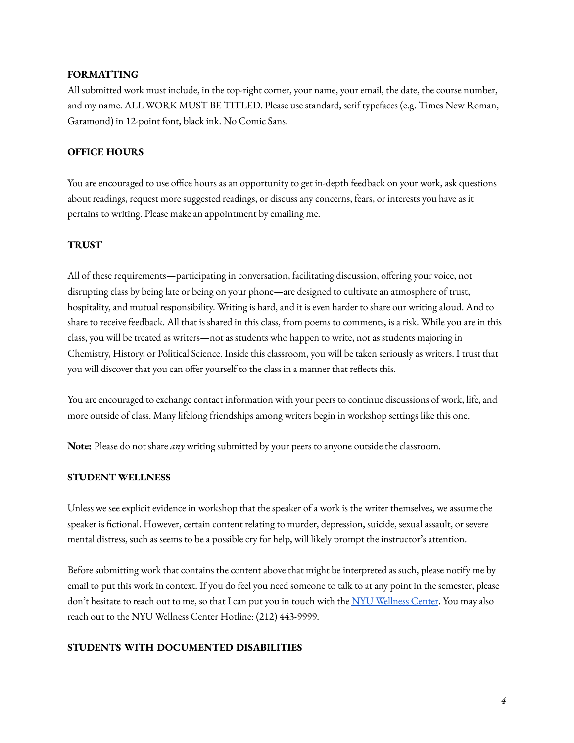## **FORMATTING**

All submitted work must include, in the top-right corner, your name, your email, the date, the course number, and my name. ALL WORK MUST BE TITLED. Please use standard, serif typefaces (e.g. Times New Roman, Garamond) in 12-point font, black ink. No Comic Sans.

## **OFFICE HOURS**

You are encouraged to use office hours as an opportunity to get in-depth feedback on your work, ask questions about readings, request more suggested readings, or discuss any concerns, fears, or interests you have as it pertains to writing. Please make an appointment by emailing me.

### **TRUST**

All of these requirements—participating in conversation, facilitating discussion, offering your voice, not disrupting class by being late or being on your phone—are designed to cultivate an atmosphere of trust, hospitality, and mutual responsibility. Writing is hard, and it is even harder to share our writing aloud. And to share to receive feedback. All that is shared in this class, from poems to comments, is a risk. While you are in this class, you will be treated as writers—not as students who happen to write, not as students majoring in Chemistry, History, or Political Science. Inside this classroom, you will be taken seriously as writers. I trust that you will discover that you can offer yourself to the class in a manner that reflects this.

You are encouraged to exchange contact information with your peers to continue discussions of work, life, and more outside of class. Many lifelong friendships among writers begin in workshop settings like this one.

**Note:** Please do not share *any* writing submitted by your peers to anyone outside the classroom.

### **STUDENT WELLNESS**

Unless we see explicit evidence in workshop that the speaker of a work is the writer themselves, we assume the speaker is fictional. However, certain content relating to murder, depression, suicide, sexual assault, or severe mental distress, such as seems to be a possible cry for help, will likely prompt the instructor's attention.

Before submitting work that contains the content above that might be interpreted as such, please notify me by email to put this work in context. If you do feel you need someone to talk to at any point in the semester, please don't hesitate to reach out to me, so that I can put you in touch with the NYU [Wellness](https://www.nyu.edu/students/health-and-wellness.html) Center. You may also reach out to the NYU Wellness Center Hotline: (212) 443-9999.

### **STUDENTS WITH DOCUMENTED DISABILITIES**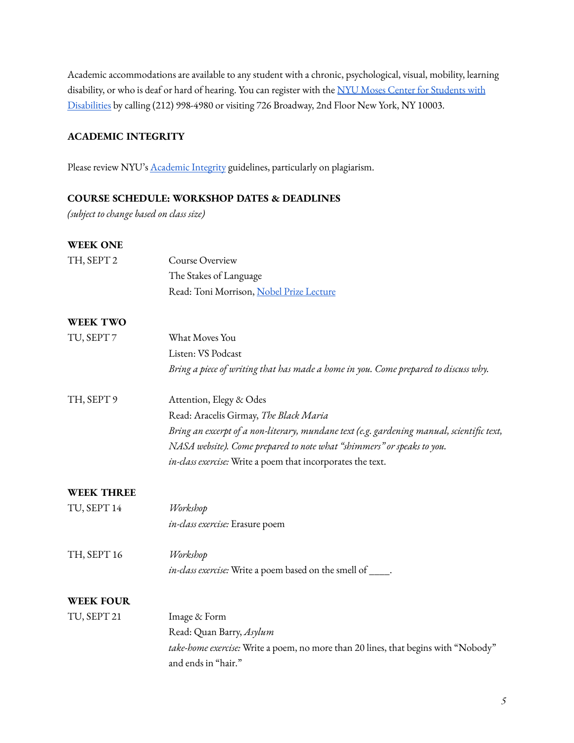Academic accommodations are available to any student with a chronic, psychological, visual, mobility, learning disability, or who is deaf or hard of hearing. You can register with the NYU Moses Center for [Students](http://www.nyu.edu/csd) with [Disabilities](http://www.nyu.edu/csd) by calling (212) 998-4980 or visiting 726 Broadway, 2nd Floor New York, NY 10003.

## **ACADEMIC INTEGRITY**

Please review NYU's **[Academic](https://cas.nyu.edu/content/nyu-as/cas/academic-integrity.html) Integrity** guidelines, particularly on plagiarism.

#### **COURSE SCHEDULE: WORKSHOP DATES & DEADLINES**

*(subject to change based on class size)*

#### **WEEK ONE**

| TH, SEPT 2        | Course Overview<br>The Stakes of Language                                                                 |
|-------------------|-----------------------------------------------------------------------------------------------------------|
|                   | Read: Toni Morrison, Nobel Prize Lecture                                                                  |
| <b>WEEK TWO</b>   |                                                                                                           |
| TU, SEPT 7        | What Moves You                                                                                            |
|                   | Listen: VS Podcast                                                                                        |
|                   | Bring a piece of writing that has made a home in you. Come prepared to discuss why.                       |
| TH, SEPT 9        | Attention, Elegy & Odes                                                                                   |
|                   | Read: Aracelis Girmay, The Black Maria                                                                    |
|                   | Bring an excerpt of a non-literary, mundane text (e.g. gardening manual, scientific text,                 |
|                   | NASA website). Come prepared to note what "shimmers" or speaks to you.                                    |
|                   | in-class exercise: Write a poem that incorporates the text.                                               |
| <b>WEEK THREE</b> |                                                                                                           |
| TU, SEPT 14       | Workshop                                                                                                  |
|                   | in-class exercise: Erasure poem                                                                           |
| TH, SEPT 16       | Workshop                                                                                                  |
|                   | in-class exercise: Write a poem based on the smell of ____.                                               |
| <b>WEEK FOUR</b>  |                                                                                                           |
| TU, SEPT 21       | Image & Form                                                                                              |
|                   | Read: Quan Barry, Asylum                                                                                  |
|                   | take-home exercise: Write a poem, no more than 20 lines, that begins with "Nobody"<br>and ends in "hair." |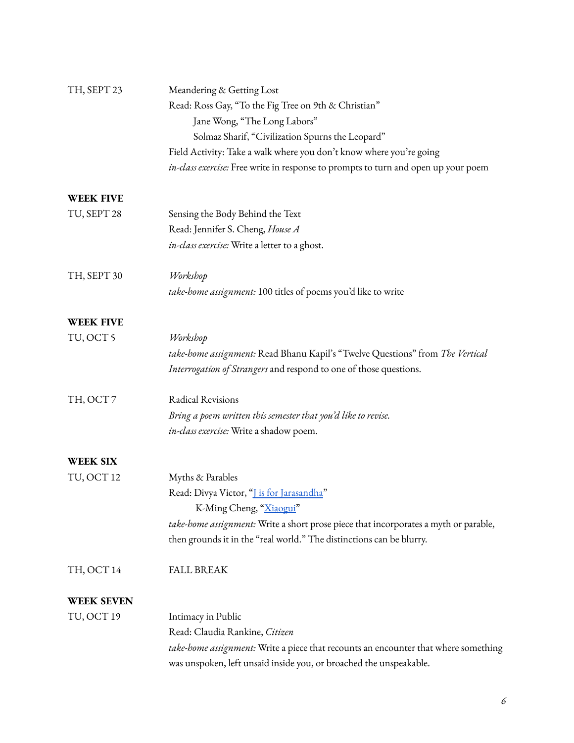| TH, SEPT 23       | Meandering & Getting Lost                                                            |
|-------------------|--------------------------------------------------------------------------------------|
|                   | Read: Ross Gay, "To the Fig Tree on 9th & Christian"                                 |
|                   | Jane Wong, "The Long Labors"                                                         |
|                   | Solmaz Sharif, "Civilization Spurns the Leopard"                                     |
|                   | Field Activity: Take a walk where you don't know where you're going                  |
|                   | in-class exercise: Free write in response to prompts to turn and open up your poem   |
| <b>WEEK FIVE</b>  |                                                                                      |
| TU, SEPT 28       | Sensing the Body Behind the Text                                                     |
|                   | Read: Jennifer S. Cheng, House A                                                     |
|                   | in-class exercise: Write a letter to a ghost.                                        |
| TH, SEPT 30       | Workshop                                                                             |
|                   | take-home assignment: 100 titles of poems you'd like to write                        |
| <b>WEEK FIVE</b>  |                                                                                      |
| TU, OCT 5         | Workshop                                                                             |
|                   | take-home assignment: Read Bhanu Kapil's "Twelve Questions" from The Vertical        |
|                   | Interrogation of Strangers and respond to one of those questions.                    |
| TH, OCT7          | Radical Revisions                                                                    |
|                   | Bring a poem written this semester that you'd like to revise.                        |
|                   | in-class exercise: Write a shadow poem.                                              |
| <b>WEEK SIX</b>   |                                                                                      |
| TU, OCT 12        | Myths & Parables                                                                     |
|                   | Read: Divya Victor, " <u>J is for Jarasandha</u> "                                   |
|                   | K-Ming Cheng, "Xiaogui"                                                              |
|                   | take-home assignment: Write a short prose piece that incorporates a myth or parable, |
|                   | then grounds it in the "real world." The distinctions can be blurry.                 |
| TH, OCT 14        | <b>FALL BREAK</b>                                                                    |
| <b>WEEK SEVEN</b> |                                                                                      |
| TU, OCT 19        | Intimacy in Public                                                                   |
|                   | Read: Claudia Rankine, Citizen                                                       |
|                   | take-home assignment: Write a piece that recounts an encounter that where something  |
|                   | was unspoken, left unsaid inside you, or broached the unspeakable.                   |
|                   |                                                                                      |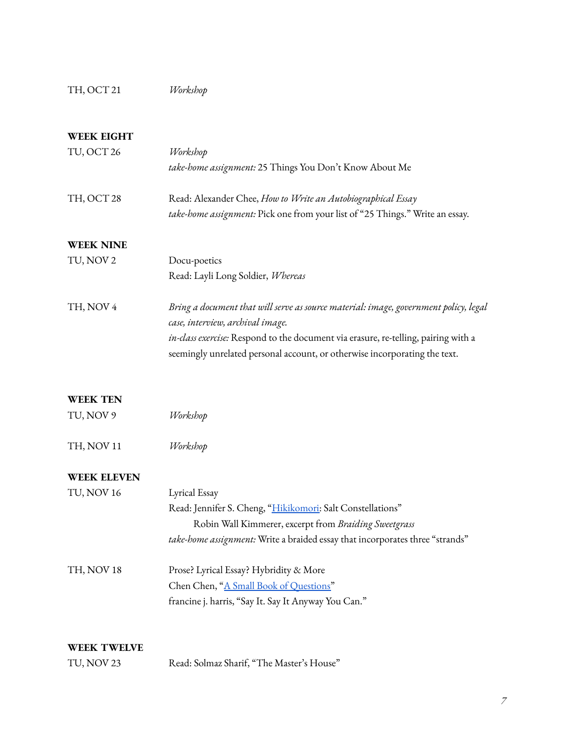# TH, OCT 21 *Workshop*

# **WEEK EIGHT**

| TU, OCT 26         | Workshop                                                                             |
|--------------------|--------------------------------------------------------------------------------------|
|                    | take-home assignment: 25 Things You Don't Know About Me                              |
| TH, OCT 28         | Read: Alexander Chee, How to Write an Autobiographical Essay                         |
|                    | take-home assignment: Pick one from your list of "25 Things." Write an essay.        |
| <b>WEEK NINE</b>   |                                                                                      |
| TU, NOV 2          | Docu-poetics                                                                         |
|                    | Read: Layli Long Soldier, Whereas                                                    |
| TH, NOV 4          | Bring a document that will serve as source material: image, government policy, legal |
|                    | case, interview, archival image.                                                     |
|                    | in-class exercise: Respond to the document via erasure, re-telling, pairing with a   |
|                    | seemingly unrelated personal account, or otherwise incorporating the text.           |
| <b>WEEK TEN</b>    |                                                                                      |
| TU, NOV 9          | Workshop                                                                             |
| TH, NOV 11         | Workshop                                                                             |
| <b>WEEK ELEVEN</b> |                                                                                      |
| TU, NOV 16         | Lyrical Essay                                                                        |
|                    | Read: Jennifer S. Cheng, "Hikikomori: Salt Constellations"                           |
|                    | Robin Wall Kimmerer, excerpt from Braiding Sweetgrass                                |
|                    | take-home assignment: Write a braided essay that incorporates three "strands"        |
| TH, NOV 18         | Prose? Lyrical Essay? Hybridity & More                                               |
|                    | Chen Chen, "A Small Book of Questions"                                               |
|                    | francine j. harris, "Say It. Say It Anyway You Can."                                 |
| <b>WEEK TWELVE</b> |                                                                                      |
| TU, NOV 23         | Read: Solmaz Sharif, "The Master's House"                                            |